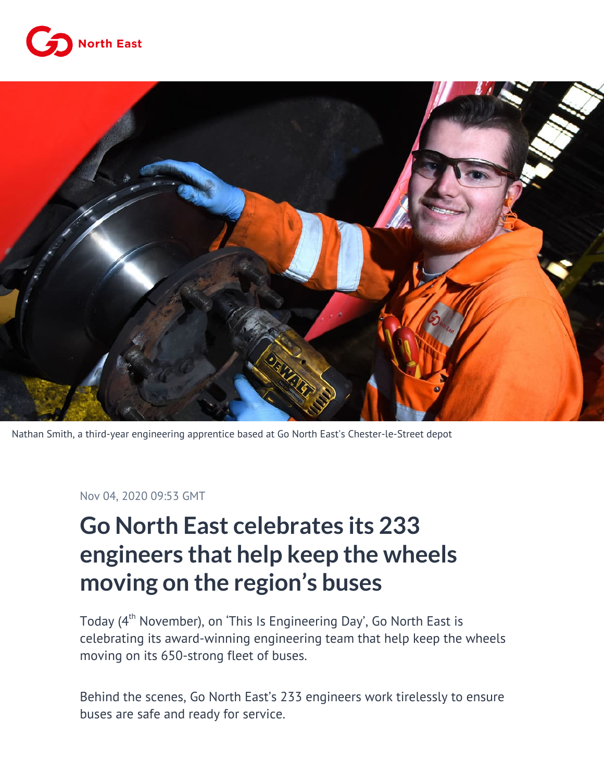



Nathan Smith, a third-year engineering apprentice based at Go North East's Chester-le-Street depot

Nov 04, 2020 09:53 GMT

## **Go North East celebrates its 233 engineers that help keep the wheels moving on the region's buses**

Today (4<sup>th</sup> November), on 'This Is Engineering Day', Go North East is celebrating its award-winning engineering team that help keep the wheels moving on its 650-strong fleet of buses.

Behind the scenes, Go North East's 233 engineers work tirelessly to ensure buses are safe and ready for service.